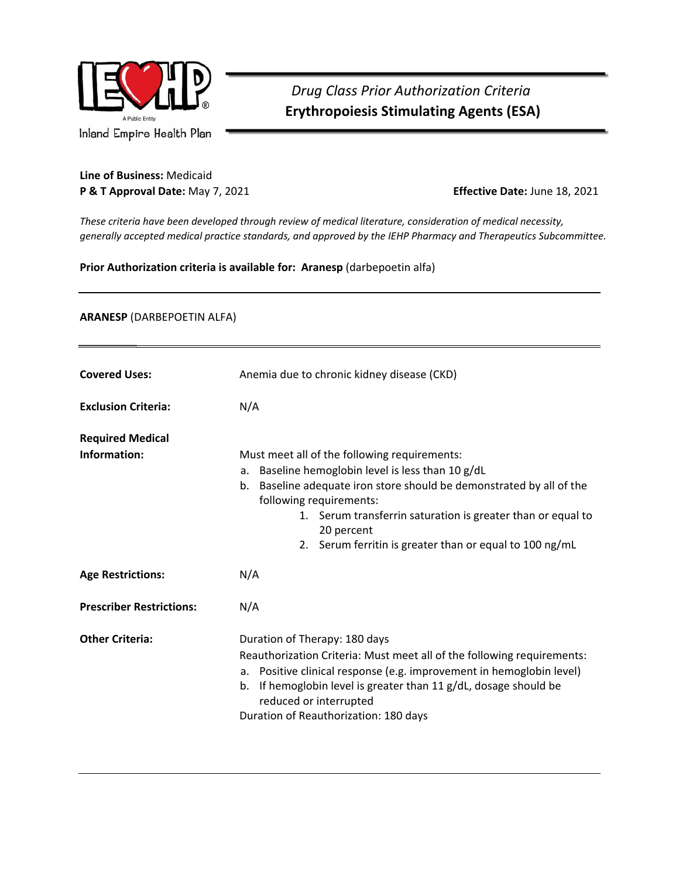

## *Drug Class Prior Authorization Criteria*   **Erythropoiesis Stimulating Agents (ESA)**

## **Line of Business:** Medicaid **P & T Approval Date:** May 7, 2021 **Effective Date:** June 18, 2021

*These criteria have been developed through review of medical literature, consideration of medical necessity, generally accepted medical practice standards, and approved by the IEHP Pharmacy and Therapeutics Subcommittee.* 

## **Prior Authorization criteria is available for: Aranesp** (darbepoetin alfa)

## **ARANESP** (DARBEPOETIN ALFA)

| <b>Covered Uses:</b>                    | Anemia due to chronic kidney disease (CKD)                                                                                                                                                                                                                                                                                                         |
|-----------------------------------------|----------------------------------------------------------------------------------------------------------------------------------------------------------------------------------------------------------------------------------------------------------------------------------------------------------------------------------------------------|
| <b>Exclusion Criteria:</b>              | N/A                                                                                                                                                                                                                                                                                                                                                |
| <b>Required Medical</b><br>Information: | Must meet all of the following requirements:<br>a. Baseline hemoglobin level is less than 10 g/dL<br>Baseline adequate iron store should be demonstrated by all of the<br>b.<br>following requirements:<br>1. Serum transferrin saturation is greater than or equal to<br>20 percent<br>Serum ferritin is greater than or equal to 100 ng/mL<br>2. |
| <b>Age Restrictions:</b>                | N/A                                                                                                                                                                                                                                                                                                                                                |
| <b>Prescriber Restrictions:</b>         | N/A                                                                                                                                                                                                                                                                                                                                                |
| <b>Other Criteria:</b>                  | Duration of Therapy: 180 days<br>Reauthorization Criteria: Must meet all of the following requirements:<br>a. Positive clinical response (e.g. improvement in hemoglobin level)<br>If hemoglobin level is greater than 11 g/dL, dosage should be<br>b.<br>reduced or interrupted<br>Duration of Reauthorization: 180 days                          |